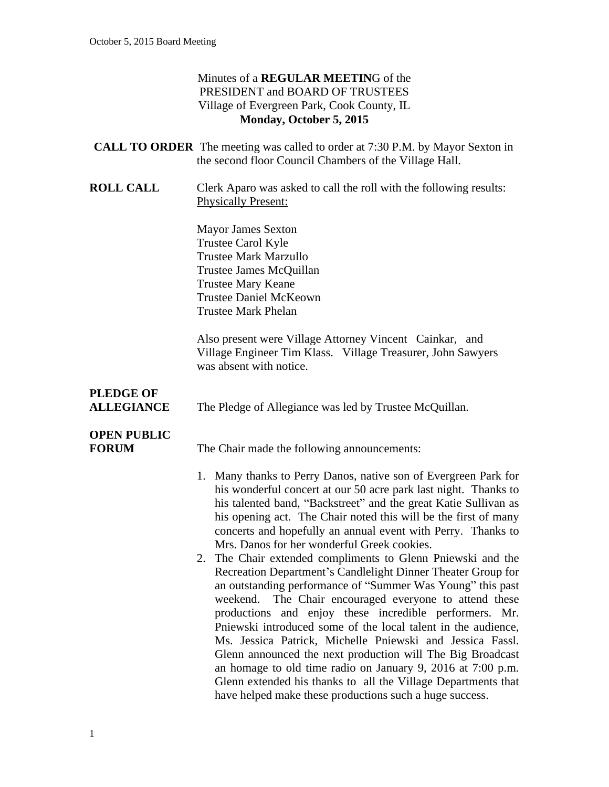#### Minutes of a **REGULAR MEETIN**G of the PRESIDENT and BOARD OF TRUSTEES Village of Evergreen Park, Cook County, IL **Monday, October 5, 2015**

| <b>CALL TO ORDER</b> The meeting was called to order at 7:30 P.M. by Mayor Sexton in |
|--------------------------------------------------------------------------------------|
| the second floor Council Chambers of the Village Hall.                               |
|                                                                                      |

**ROLL CALL** Clerk Aparo was asked to call the roll with the following results: Physically Present:

> Mayor James Sexton Trustee Carol Kyle Trustee Mark Marzullo Trustee James McQuillan Trustee Mary Keane Trustee Daniel McKeown Trustee Mark Phelan

Also present were Village Attorney Vincent Cainkar, and Village Engineer Tim Klass. Village Treasurer, John Sawyers was absent with notice.

## **PLEDGE OF**

**ALLEGIANCE** The Pledge of Allegiance was led by Trustee McQuillan.

## **OPEN PUBLIC**

**FORUM** The Chair made the following announcements:

- 1. Many thanks to Perry Danos, native son of Evergreen Park for his wonderful concert at our 50 acre park last night. Thanks to his talented band, "Backstreet" and the great Katie Sullivan as his opening act. The Chair noted this will be the first of many concerts and hopefully an annual event with Perry. Thanks to Mrs. Danos for her wonderful Greek cookies.
- 2. The Chair extended compliments to Glenn Pniewski and the Recreation Department's Candlelight Dinner Theater Group for an outstanding performance of "Summer Was Young" this past weekend. The Chair encouraged everyone to attend these productions and enjoy these incredible performers. Mr. Pniewski introduced some of the local talent in the audience, Ms. Jessica Patrick, Michelle Pniewski and Jessica Fassl. Glenn announced the next production will The Big Broadcast an homage to old time radio on January 9, 2016 at 7:00 p.m. Glenn extended his thanks to all the Village Departments that have helped make these productions such a huge success.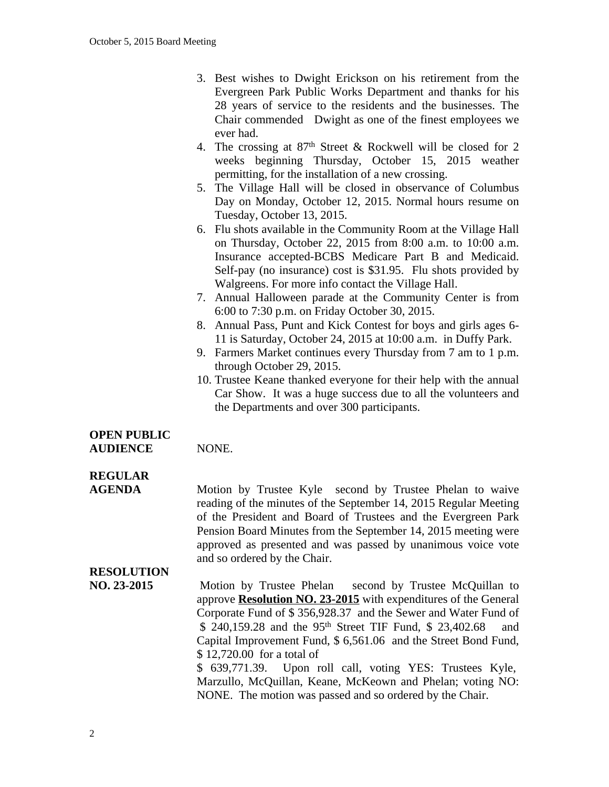- 3. Best wishes to Dwight Erickson on his retirement from the Evergreen Park Public Works Department and thanks for his 28 years of service to the residents and the businesses. The Chair commended Dwight as one of the finest employees we ever had.
- 4. The crossing at  $87<sup>th</sup>$  Street & Rockwell will be closed for 2 weeks beginning Thursday, October 15, 2015 weather permitting, for the installation of a new crossing.
- 5. The Village Hall will be closed in observance of Columbus Day on Monday, October 12, 2015. Normal hours resume on Tuesday, October 13, 2015.
- 6. Flu shots available in the Community Room at the Village Hall on Thursday, October 22, 2015 from 8:00 a.m. to 10:00 a.m. Insurance accepted-BCBS Medicare Part B and Medicaid. Self-pay (no insurance) cost is \$31.95. Flu shots provided by Walgreens. For more info contact the Village Hall.
- 7. Annual Halloween parade at the Community Center is from 6:00 to 7:30 p.m. on Friday October 30, 2015.
- 8. Annual Pass, Punt and Kick Contest for boys and girls ages 6- 11 is Saturday, October 24, 2015 at 10:00 a.m. in Duffy Park.
- 9. Farmers Market continues every Thursday from 7 am to 1 p.m. through October 29, 2015.
- 10. Trustee Keane thanked everyone for their help with the annual Car Show. It was a huge success due to all the volunteers and the Departments and over 300 participants.

### **OPEN PUBLIC**

## **REGULAR**

**AGENDA** Motion by Trustee Kyle second by Trustee Phelan to waive reading of the minutes of the September 14, 2015 Regular Meeting of the President and Board of Trustees and the Evergreen Park Pension Board Minutes from the September 14, 2015 meeting were approved as presented and was passed by unanimous voice vote and so ordered by the Chair.

## **RESOLUTION**

**NO. 23-2015** Motion by Trustee Phelan second by Trustee McQuillan to approve **Resolution NO. 23-2015** with expenditures of the General Corporate Fund of \$ 356,928.37 and the Sewer and Water Fund of \$ 240,159.28 and the 95<sup>th</sup> Street TIF Fund, \$ 23,402.68 and Capital Improvement Fund, \$ 6,561.06 and the Street Bond Fund, \$ 12,720.00 for a total of \$ 639,771.39. Upon roll call, voting YES: Trustees Kyle, Marzullo, McQuillan, Keane, McKeown and Phelan; voting NO: NONE. The motion was passed and so ordered by the Chair.

AUDIENCE NONE.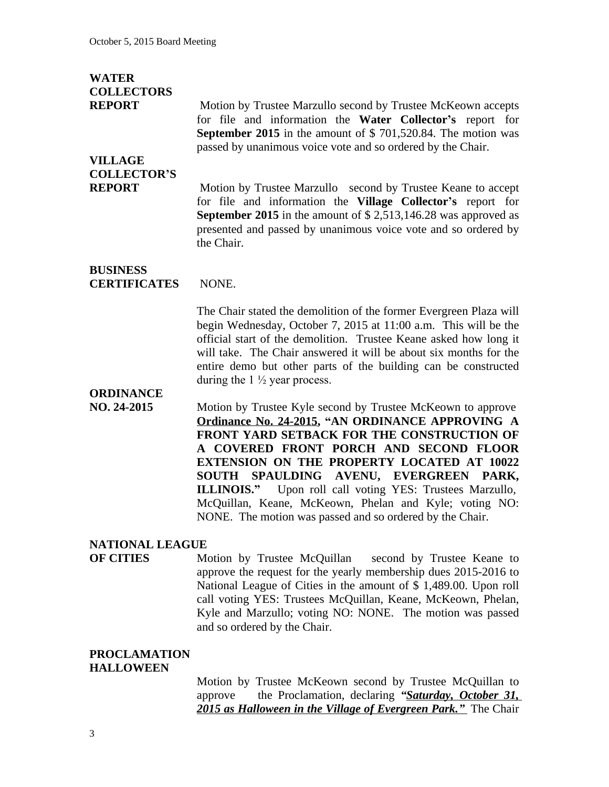| <b>WATER</b>                           |                                                                                                                                                                                                                                                                                                                                                                                                                                                                                                    |
|----------------------------------------|----------------------------------------------------------------------------------------------------------------------------------------------------------------------------------------------------------------------------------------------------------------------------------------------------------------------------------------------------------------------------------------------------------------------------------------------------------------------------------------------------|
| <b>COLLECTORS</b><br><b>REPORT</b>     | Motion by Trustee Marzullo second by Trustee McKeown accepts<br>for file and information the Water Collector's report for<br>September 2015 in the amount of $$701,520.84$ . The motion was<br>passed by unanimous voice vote and so ordered by the Chair.                                                                                                                                                                                                                                         |
| <b>VILLAGE</b>                         |                                                                                                                                                                                                                                                                                                                                                                                                                                                                                                    |
| <b>COLLECTOR'S</b><br><b>REPORT</b>    | Motion by Trustee Marzullo second by Trustee Keane to accept<br>for file and information the Village Collector's report for<br><b>September 2015</b> in the amount of $$2,513,146.28$ was approved as<br>presented and passed by unanimous voice vote and so ordered by<br>the Chair.                                                                                                                                                                                                              |
| <b>BUSINESS</b><br><b>CERTIFICATES</b> | NONE.                                                                                                                                                                                                                                                                                                                                                                                                                                                                                              |
|                                        | The Chair stated the demolition of the former Evergreen Plaza will<br>begin Wednesday, October 7, 2015 at 11:00 a.m. This will be the<br>official start of the demolition. Trustee Keane asked how long it<br>will take. The Chair answered it will be about six months for the<br>entire demo but other parts of the building can be constructed<br>during the $1\frac{1}{2}$ year process.                                                                                                       |
| <b>ORDINANCE</b><br>NO. 24-2015        | Motion by Trustee Kyle second by Trustee McKeown to approve<br>Ordinance No. 24-2015, "AN ORDINANCE APPROVING A<br>FRONT YARD SETBACK FOR THE CONSTRUCTION OF<br>A COVERED FRONT PORCH AND SECOND FLOOR<br><b>EXTENSION ON THE PROPERTY LOCATED AT 10022</b><br>SPAULDING AVENU, EVERGREEN PARK,<br><b>SOUTH</b><br>ILLINOIS." Upon roll call voting YES: Trustees Marzullo,<br>McQuillan, Keane, McKeown, Phelan and Kyle; voting NO:<br>NONE. The motion was passed and so ordered by the Chair. |
| <b>NATIONAL LEAGUE</b>                 |                                                                                                                                                                                                                                                                                                                                                                                                                                                                                                    |
| <b>OF CITIES</b>                       | Motion by Trustee McQuillan second by Trustee Keane to<br>approve the request for the yearly membership dues 2015-2016 to<br>National League of Cities in the amount of \$1,489.00. Upon roll<br>call voting YES: Trustees McQuillan, Keane, McKeown, Phelan,<br>Kyle and Marzullo; voting NO: NONE. The motion was passed<br>and so ordered by the Chair.                                                                                                                                         |

#### **PROCLAMATION HALLOWEEN**

Motion by Trustee McKeown second by Trustee McQuillan to approve the Proclamation, declaring "Saturday, October 31, the Proclamation, declaring *"Saturday, October 31, 2015 as Halloween in the Village of Evergreen Park."* The Chair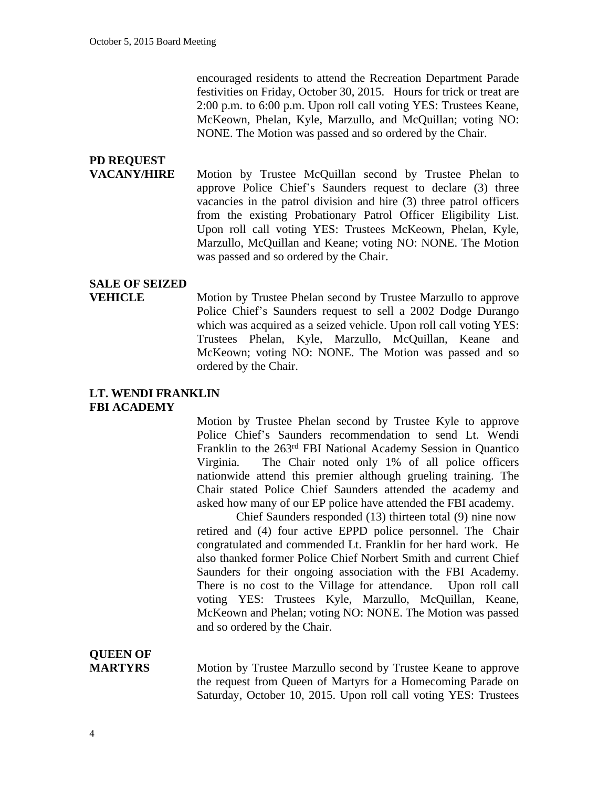encouraged residents to attend the Recreation Department Parade festivities on Friday, October 30, 2015. Hours for trick or treat are 2:00 p.m. to 6:00 p.m. Upon roll call voting YES: Trustees Keane, McKeown, Phelan, Kyle, Marzullo, and McQuillan; voting NO: NONE. The Motion was passed and so ordered by the Chair.

# **PD REQUEST**

**VACANY/HIRE** Motion by Trustee McQuillan second by Trustee Phelan to approve Police Chief's Saunders request to declare (3) three vacancies in the patrol division and hire (3) three patrol officers from the existing Probationary Patrol Officer Eligibility List. Upon roll call voting YES: Trustees McKeown, Phelan, Kyle, Marzullo, McQuillan and Keane; voting NO: NONE. The Motion was passed and so ordered by the Chair.

#### **SALE OF SEIZED**

**VEHICLE** Motion by Trustee Phelan second by Trustee Marzullo to approve Police Chief's Saunders request to sell a 2002 Dodge Durango which was acquired as a seized vehicle. Upon roll call voting YES: Trustees Phelan, Kyle, Marzullo, McQuillan, Keane and McKeown; voting NO: NONE. The Motion was passed and so ordered by the Chair.

### **LT. WENDI FRANKLIN FBI ACADEMY**

Motion by Trustee Phelan second by Trustee Kyle to approve Police Chief's Saunders recommendation to send Lt. Wendi Franklin to the 263rd FBI National Academy Session in Quantico Virginia. The Chair noted only 1% of all police officers nationwide attend this premier although grueling training. The Chair stated Police Chief Saunders attended the academy and asked how many of our EP police have attended the FBI academy.

Chief Saunders responded (13) thirteen total (9) nine now retired and (4) four active EPPD police personnel. The Chair congratulated and commended Lt. Franklin for her hard work. He also thanked former Police Chief Norbert Smith and current Chief Saunders for their ongoing association with the FBI Academy. There is no cost to the Village for attendance. Upon roll call voting YES: Trustees Kyle, Marzullo, McQuillan, Keane, McKeown and Phelan; voting NO: NONE. The Motion was passed and so ordered by the Chair.

## **QUEEN OF**

**MARTYRS** Motion by Trustee Marzullo second by Trustee Keane to approve the request from Queen of Martyrs for a Homecoming Parade on Saturday, October 10, 2015. Upon roll call voting YES: Trustees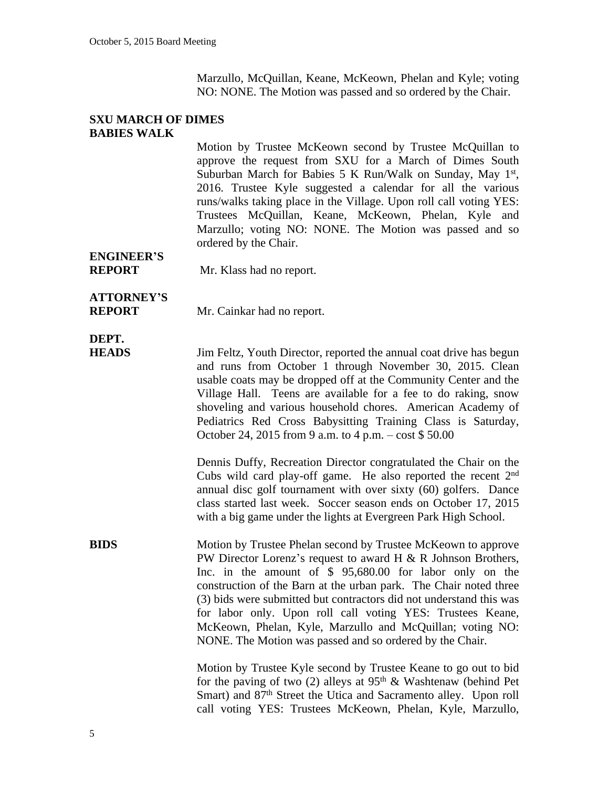Marzullo, McQuillan, Keane, McKeown, Phelan and Kyle; voting NO: NONE. The Motion was passed and so ordered by the Chair.

#### **SXU MARCH OF DIMES BABIES WALK**

Motion by Trustee McKeown second by Trustee McQuillan to approve the request from SXU for a March of Dimes South Suburban March for Babies 5 K Run/Walk on Sunday, May 1st, 2016. Trustee Kyle suggested a calendar for all the various runs/walks taking place in the Village. Upon roll call voting YES: Trustees McQuillan, Keane, McKeown, Phelan, Kyle and Marzullo; voting NO: NONE. The Motion was passed and so ordered by the Chair.

**ENGINEER'S**

**REPORT** Mr. Klass had no report.

**ATTORNEY'S**

**REPORT** Mr. Cainkar had no report.

## **DEPT.**

**HEADS** Jim Feltz, Youth Director, reported the annual coat drive has begun and runs from October 1 through November 30, 2015. Clean usable coats may be dropped off at the Community Center and the Village Hall. Teens are available for a fee to do raking, snow shoveling and various household chores. American Academy of Pediatrics Red Cross Babysitting Training Class is Saturday, October 24, 2015 from 9 a.m. to 4 p.m. – cost \$ 50.00

> Dennis Duffy, Recreation Director congratulated the Chair on the Cubs wild card play-off game. He also reported the recent 2<sup>nd</sup> annual disc golf tournament with over sixty (60) golfers. Dance class started last week. Soccer season ends on October 17, 2015 with a big game under the lights at Evergreen Park High School.

**BIDS** Motion by Trustee Phelan second by Trustee McKeown to approve PW Director Lorenz's request to award H & R Johnson Brothers, Inc. in the amount of \$ 95,680.00 for labor only on the construction of the Barn at the urban park. The Chair noted three (3) bids were submitted but contractors did not understand this was for labor only. Upon roll call voting YES: Trustees Keane, McKeown, Phelan, Kyle, Marzullo and McQuillan; voting NO: NONE. The Motion was passed and so ordered by the Chair.

> Motion by Trustee Kyle second by Trustee Keane to go out to bid for the paving of two (2) alleys at  $95<sup>th</sup>$  & Washtenaw (behind Pet Smart) and 87<sup>th</sup> Street the Utica and Sacramento alley. Upon roll call voting YES: Trustees McKeown, Phelan, Kyle, Marzullo,